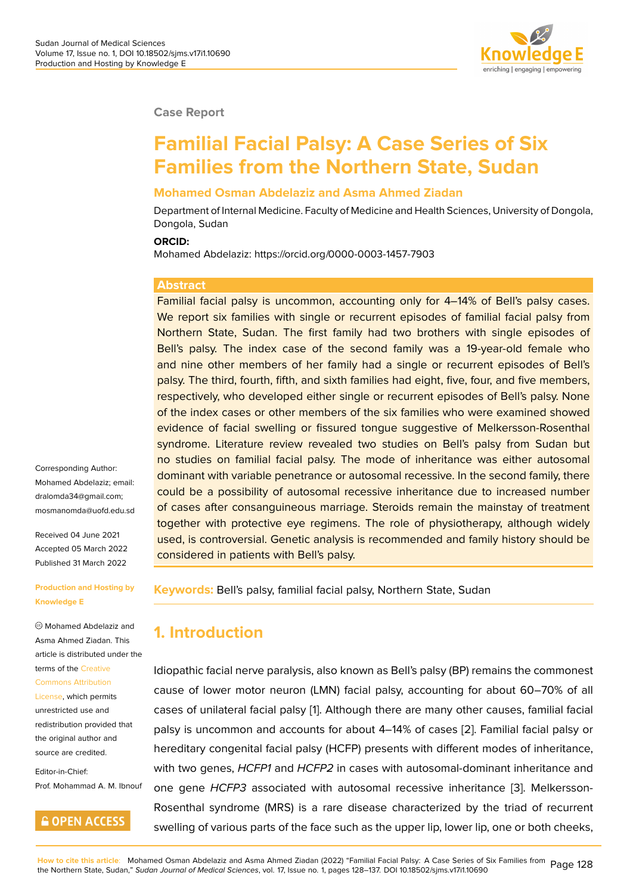#### **Case Report**

# **Familial Facial Palsy: A Case Series of Six Families from the Northern State, Sudan**

#### **Mohamed Osman Abdelaziz and Asma Ahmed Ziadan**

Department of Internal Medicine. Faculty of Medicine and Health Sciences, University of Dongola, Dongola, Sudan

#### **ORCID:**

Mohamed Abdelaziz: https://orcid.org/0000-0003-1457-7903

#### **Abstract**

Familial facial palsy is uncommon, accounting only for 4–14% of Bell's palsy cases. We report six families with single or recurrent episodes of familial facial palsy from Northern State, Sudan. The first family had two brothers with single episodes of Bell's palsy. The index case of the second family was a 19-year-old female who and nine other members of her family had a single or recurrent episodes of Bell's palsy. The third, fourth, fifth, and sixth families had eight, five, four, and five members, respectively, who developed either single or recurrent episodes of Bell's palsy. None of the index cases or other members of the six families who were examined showed evidence of facial swelling or fissured tongue suggestive of Melkersson-Rosenthal syndrome. Literature review revealed two studies on Bell's palsy from Sudan but no studies on familial facial palsy. The mode of inheritance was either autosomal dominant with variable penetrance or autosomal recessive. In the second family, there could be a possibility of autosomal recessive inheritance due to increased number of cases after consanguineous marriage. Steroids remain the mainstay of treatment together with protective eye regimens. The role of physiotherapy, although widely used, is controversial. Genetic analysis is recommended and family history should be considered in patients with Bell's palsy.

**Keywords:** Bell's palsy, familial facial palsy, Northern State, Sudan

### **1. Introduction**

Idiopathic facial nerve paralysis, also known as Bell's palsy (BP) remains the commonest cause of lower motor neuron (LMN) facial palsy, accounting for about 60–70% of all cases of unilateral facial palsy [1]. Although there are many other causes, familial facial palsy is uncommon and accounts for about 4–14% of cases [2]. Familial facial palsy or hereditary congenital facial palsy (HCFP) presents with different modes of inheritance, with two genes, *HCFP1* and *H[CF](#page-8-0)P2* in cases with autosomal-dominant inheritance and one gene *HCFP3* associated with autosomal recessive in[her](#page-8-1)itance [3]. Melkersson-Rosenthal syndrome (MRS) is a rare disease characterized by the triad of recurrent swelling of various parts of the face such as the upper lip, lower lip, one or both cheeks,

Corresponding Author: Mohamed Abdelaziz; email: dralomda34@gmail.com; mosmanomda@uofd.edu.sd

Received 04 June 2021 [Accepted 05 March 202](mailto:dralomda34@gmail.com)2 [Published 31 March 2022](mailto:mosmanomda@uofd.edu.sd)

#### **Production and Hosting by Knowledge E**

Mohamed Abdelaziz and Asma Ahmed Ziadan. This article is distributed under the terms of the Creative

#### Commons Attribution

License, which permits unrestricted use and redistributio[n provide](https://creativecommons.org/licenses/by/4.0/)d that [the original author an](https://creativecommons.org/licenses/by/4.0/)d [source a](https://creativecommons.org/licenses/by/4.0/)re credited.

Editor-in-Chief: Prof. Mohammad A. M. Ibnouf

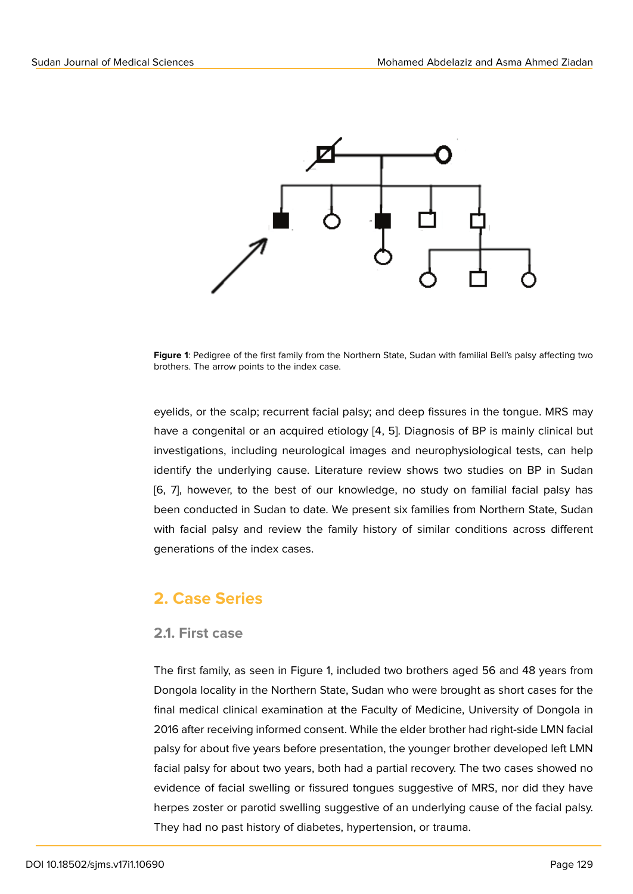

**Figure 1**: Pedigree of the first family from the Northern State, Sudan with familial Bell's palsy affecting two brothers. The arrow points to the index case.

eyelids, or the scalp; recurrent facial palsy; and deep fissures in the tongue. MRS may have a congenital or an acquired etiology [4, 5]. Diagnosis of BP is mainly clinical but investigations, including neurological images and neurophysiological tests, can help identify the underlying cause. Literature review shows two studies on BP in Sudan [6, 7], however, to the best of our knowledge, no study on familial facial palsy has been conducted in Sudan to date. We present six families from Northern State, Sudan with facial palsy and review the family history of similar conditions across different generations of the index cases.

## **2. Case Series**

#### **2.1. First case**

The first family, as seen in Figure 1, included two brothers aged 56 and 48 years from Dongola locality in the Northern State, Sudan who were brought as short cases for the final medical clinical examination at the Faculty of Medicine, University of Dongola in 2016 after receiving informed consent. While the elder brother had right-side LMN facial palsy for about five years before presentation, the younger brother developed left LMN facial palsy for about two years, both had a partial recovery. The two cases showed no evidence of facial swelling or fissured tongues suggestive of MRS, nor did they have herpes zoster or parotid swelling suggestive of an underlying cause of the facial palsy. They had no past history of diabetes, hypertension, or trauma.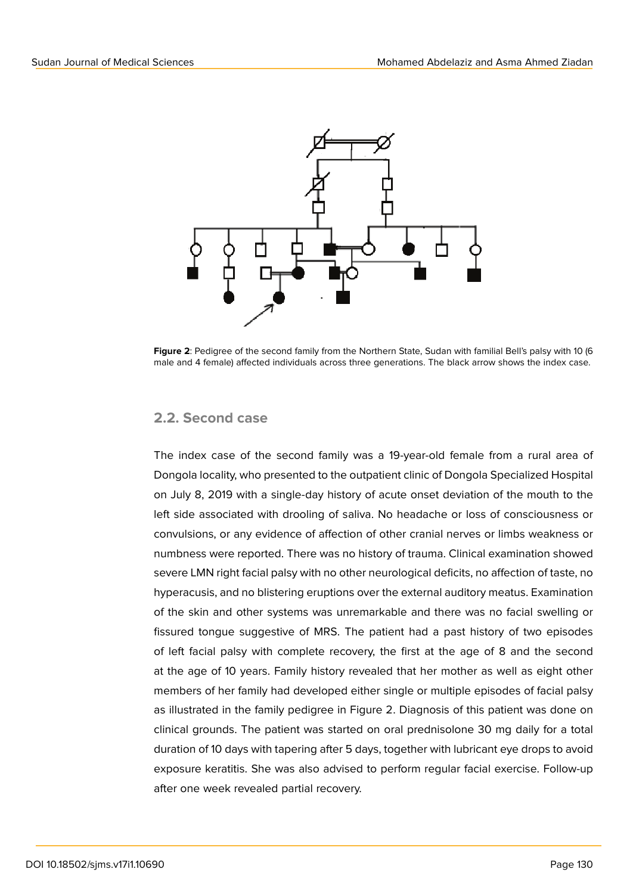

**Figure 2**: Pedigree of the second family from the Northern State, Sudan with familial Bell's palsy with 10 (6 male and 4 female) affected individuals across three generations. The black arrow shows the index case.

#### **2.2. Second case**

The index case of the second family was a 19-year-old female from a rural area of Dongola locality, who presented to the outpatient clinic of Dongola Specialized Hospital on July 8, 2019 with a single-day history of acute onset deviation of the mouth to the left side associated with drooling of saliva. No headache or loss of consciousness or convulsions, or any evidence of affection of other cranial nerves or limbs weakness or numbness were reported. There was no history of trauma. Clinical examination showed severe LMN right facial palsy with no other neurological deficits, no affection of taste, no hyperacusis, and no blistering eruptions over the external auditory meatus. Examination of the skin and other systems was unremarkable and there was no facial swelling or fissured tongue suggestive of MRS. The patient had a past history of two episodes of left facial palsy with complete recovery, the first at the age of 8 and the second at the age of 10 years. Family history revealed that her mother as well as eight other members of her family had developed either single or multiple episodes of facial palsy as illustrated in the family pedigree in Figure 2. Diagnosis of this patient was done on clinical grounds. The patient was started on oral prednisolone 30 mg daily for a total duration of 10 days with tapering after 5 days, together with lubricant eye drops to avoid exposure keratitis. She was also advised to perform regular facial exercise. Follow-up after one week revealed partial recovery.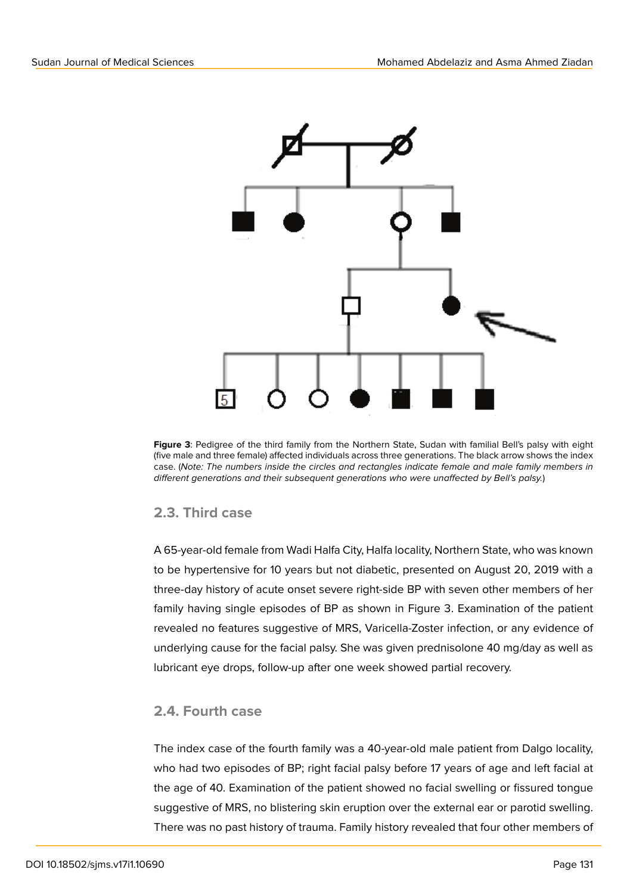

**Figure 3**: Pedigree of the third family from the Northern State, Sudan with familial Bell's palsy with eight (five male and three female) affected individuals across three generations. The black arrow shows the index case. (*Note: The numbers inside the circles and rectangles indicate female and male family members in different generations and their subsequent generations who were unaffected by Bell's palsy.*)

### **2.3. Third case**

A 65-year-old female from Wadi Halfa City, Halfa locality, Northern State, who was known to be hypertensive for 10 years but not diabetic, presented on August 20, 2019 with a three-day history of acute onset severe right-side BP with seven other members of her family having single episodes of BP as shown in Figure 3. Examination of the patient revealed no features suggestive of MRS, Varicella-Zoster infection, or any evidence of underlying cause for the facial palsy. She was given prednisolone 40 mg/day as well as lubricant eye drops, follow-up after one week showed partial recovery.

### **2.4. Fourth case**

The index case of the fourth family was a 40-year-old male patient from Dalgo locality, who had two episodes of BP; right facial palsy before 17 years of age and left facial at the age of 40. Examination of the patient showed no facial swelling or fissured tongue suggestive of MRS, no blistering skin eruption over the external ear or parotid swelling. There was no past history of trauma. Family history revealed that four other members of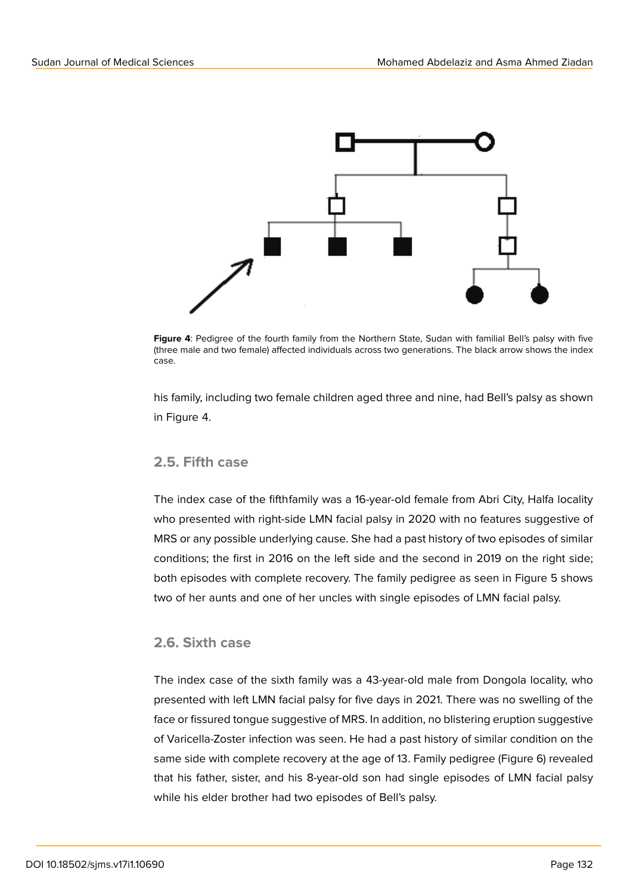

**Figure 4**: Pedigree of the fourth family from the Northern State, Sudan with familial Bell's palsy with five (three male and two female) affected individuals across two generations. The black arrow shows the index case.

his family, including two female children aged three and nine, had Bell's palsy as shown in Figure 4.

#### **2.5. Fifth case**

The index case of the fifthfamily was a 16-year-old female from Abri City, Halfa locality who presented with right-side LMN facial palsy in 2020 with no features suggestive of MRS or any possible underlying cause. She had a past history of two episodes of similar conditions; the first in 2016 on the left side and the second in 2019 on the right side; both episodes with complete recovery. The family pedigree as seen in Figure 5 shows two of her aunts and one of her uncles with single episodes of LMN facial palsy.

#### **2.6. Sixth case**

The index case of the sixth family was a 43-year-old male from Dongola locality, who presented with left LMN facial palsy for five days in 2021. There was no swelling of the face or fissured tongue suggestive of MRS. In addition, no blistering eruption suggestive of Varicella-Zoster infection was seen. He had a past history of similar condition on the same side with complete recovery at the age of 13. Family pedigree (Figure 6) revealed that his father, sister, and his 8-year-old son had single episodes of LMN facial palsy while his elder brother had two episodes of Bell's palsy.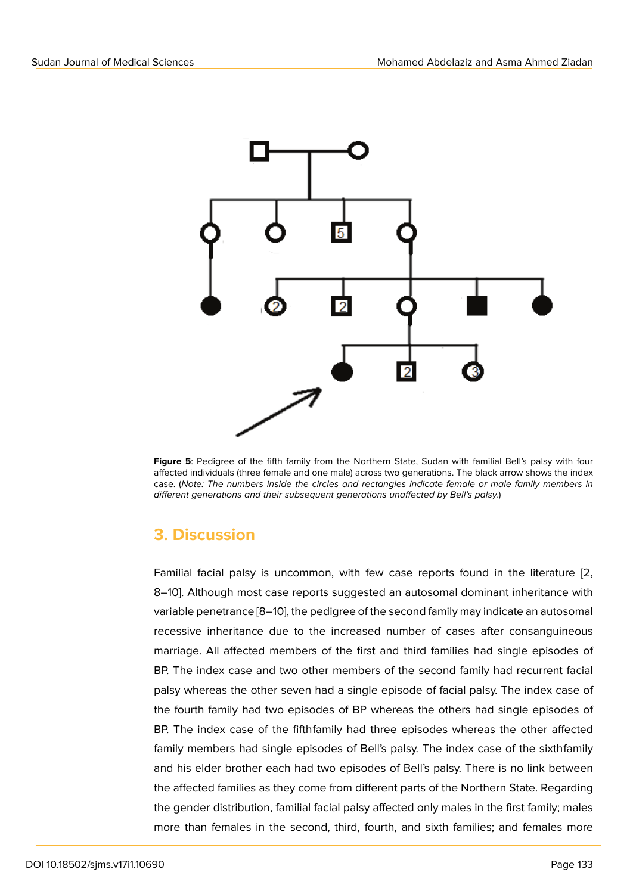

**Figure 5**: Pedigree of the fifth family from the Northern State, Sudan with familial Bell's palsy with four affected individuals (three female and one male) across two generations. The black arrow shows the index case. (*Note: The numbers inside the circles and rectangles indicate female or male family members in different generations and their subsequent generations unaffected by Bell's palsy.*)

## **3. Discussion**

Familial facial palsy is uncommon, with few case reports found in the literature [2, 8–10]. Although most case reports suggested an autosomal dominant inheritance with variable penetrance [8–10], the pedigree of the second family may indicate an autosomal recessive inheritance due to the increased number of cases after consanguineous marriage. All affected members of the first and third families had single episodes of BP. The index case and two other members of the second family had recurrent facial palsy whereas the other seven had a single episode of facial palsy. The index case of the fourth family had two episodes of BP whereas the others had single episodes of BP. The index case of the fifthfamily had three episodes whereas the other affected family members had single episodes of Bell's palsy. The index case of the sixthfamily and his elder brother each had two episodes of Bell's palsy. There is no link between the affected families as they come from different parts of the Northern State. Regarding the gender distribution, familial facial palsy affected only males in the first family; males more than females in the second, third, fourth, and sixth families; and females more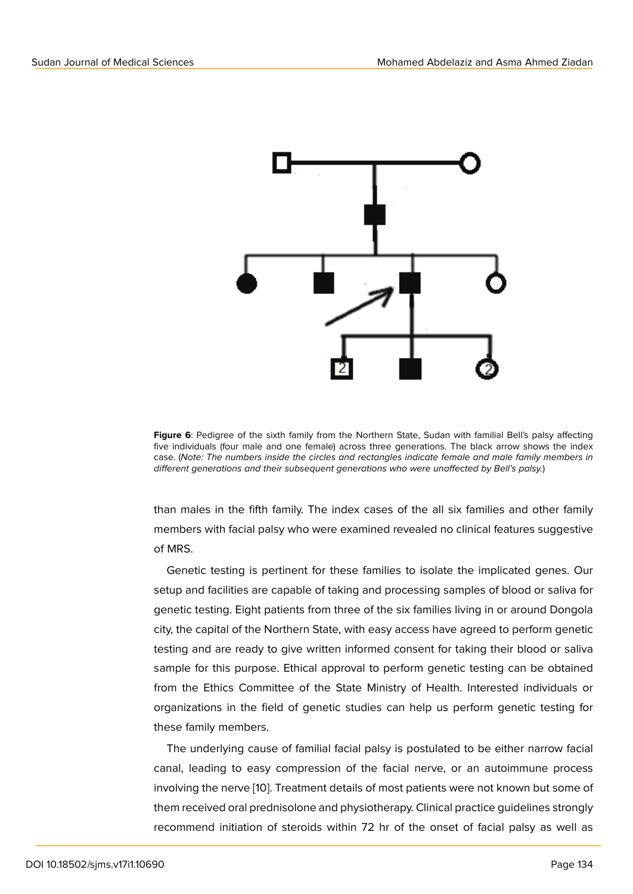

**Figure 6**: Pedigree of the sixth family from the Northern State, Sudan with familial Bell's palsy affecting five individuals (four male and one female) across three generations. The black arrow shows the index case. (*Note: The numbers inside the circles and rectangles indicate female and male family members in different generations and their subsequent generations who were unaffected by Bell's palsy.*)

than males in the fifth family. The index cases of the all six families and other family members with facial palsy who were examined revealed no clinical features suggestive of MRS.

Genetic testing is pertinent for these families to isolate the implicated genes. Our setup and facilities are capable of taking and processing samples of blood or saliva for genetic testing. Eight patients from three of the six families living in or around Dongola city, the capital of the Northern State, with easy access have agreed to perform genetic testing and are ready to give written informed consent for taking their blood or saliva sample for this purpose. Ethical approval to perform genetic testing can be obtained from the Ethics Committee of the State Ministry of Health. Interested individuals or organizations in the field of genetic studies can help us perform genetic testing for these family members.

The underlying cause of familial facial palsy is postulated to be either narrow facial canal, leading to easy compression of the facial nerve, or an autoimmune process involving the nerve [10]. Treatment details of most patients were not known but some of them received oral prednisolone and physiotherapy. Clinical practice guidelines strongly recommend initiation of steroids within 72 hr of the onset of facial palsy as well as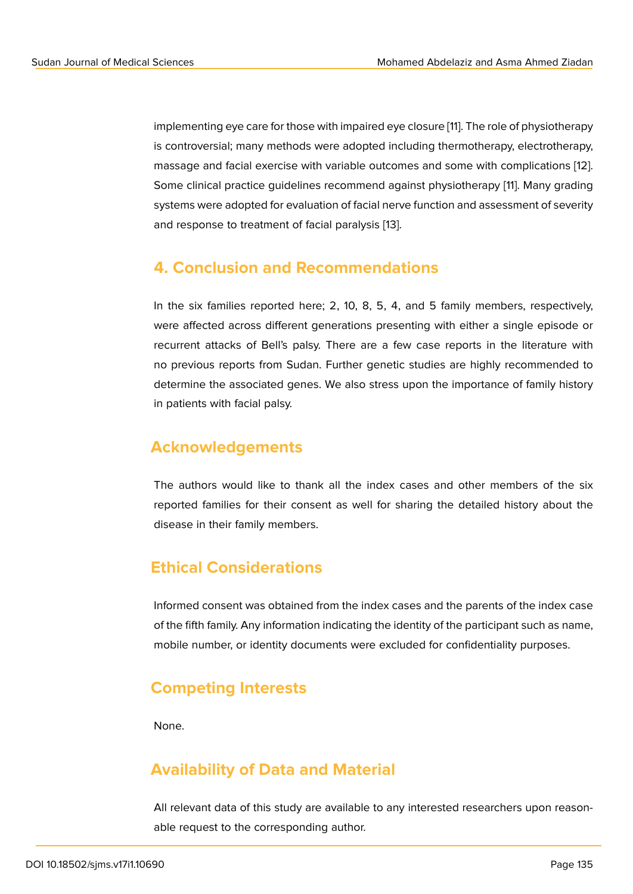implementing eye care for those with impaired eye closure [11]. The role of physiotherapy is controversial; many methods were adopted including thermotherapy, electrotherapy, massage and facial exercise with variable outcomes and some with complications [12]. Some clinical practice guidelines recommend against phy[sio](#page-8-2)therapy [11]. Many grading systems were adopted for evaluation of facial nerve function and assessment of severity and response to treatment of facial paralysis [13].

### **4. Conclusion and Recommen[da](#page-9-0)tions**

In the six families reported here; 2, 10, 8, 5, 4, and 5 family members, respectively, were affected across different generations presenting with either a single episode or recurrent attacks of Bell's palsy. There are a few case reports in the literature with no previous reports from Sudan. Further genetic studies are highly recommended to determine the associated genes. We also stress upon the importance of family history in patients with facial palsy.

### **Acknowledgements**

The authors would like to thank all the index cases and other members of the six reported families for their consent as well for sharing the detailed history about the disease in their family members.

### **Ethical Considerations**

Informed consent was obtained from the index cases and the parents of the index case of the fifth family. Any information indicating the identity of the participant such as name, mobile number, or identity documents were excluded for confidentiality purposes.

### **Competing Interests**

None.

## **Availability of Data and Material**

All relevant data of this study are available to any interested researchers upon reasonable request to the corresponding author.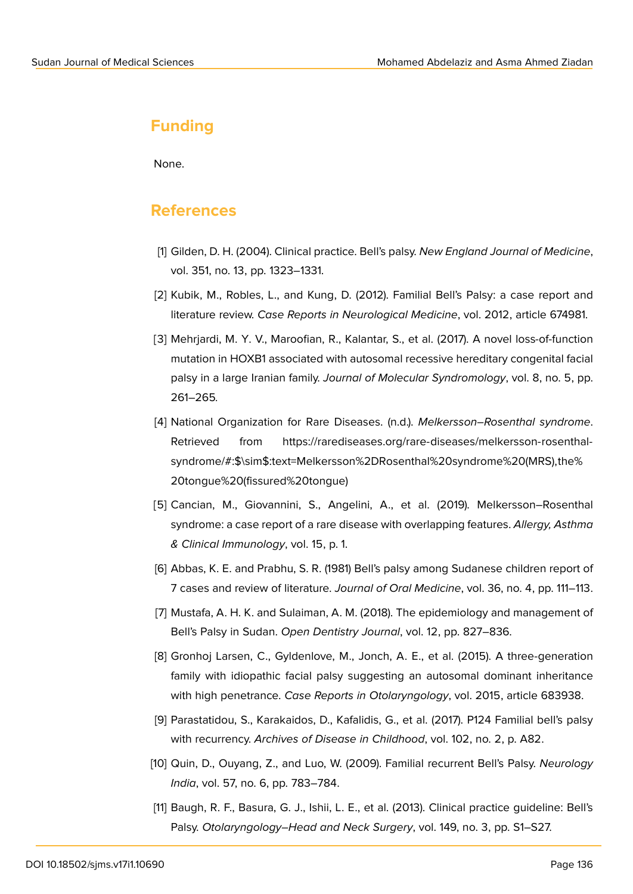### **Funding**

None.

### **References**

- [1] Gilden, D. H. (2004). Clinical practice. Bell's palsy. *New England Journal of Medicine*, vol. 351, no. 13, pp. 1323–1331.
- <span id="page-8-0"></span>[2] Kubik, M., Robles, L., and Kung, D. (2012). Familial Bell's Palsy: a case report and literature review. *Case Reports in Neurological Medicine*, vol. 2012, article 674981.
- <span id="page-8-1"></span>[3] Mehrjardi, M. Y. V., Maroofian, R., Kalantar, S., et al. (2017). A novel loss-of-function mutation in HOXB1 associated with autosomal recessive hereditary congenital facial palsy in a large Iranian family. *Journal of Molecular Syndromology*, vol. 8, no. 5, pp. 261–265*.*
- [4] National Organization for Rare Diseases. (n.d.). *Melkersson–Rosenthal syndrome*. Retrieved from https://rarediseases.org/rare-diseases/melkersson-rosenthalsyndrome/#:\$\sim\$:text=Melkersson%2DRosenthal%20syndrome%20(MRS),the% 20tongue%20(fissured%20tongue)
- [5] [Cancian, M., Giovannini, S., Angelini, A., et al. \(2019\). Melkersson–Rosenthal](https://rarediseases.org/rare-diseases/melkersson-rosenthal-syndrome/#:$\sim $:text=Melkersson%2DRosenthal%20syndrome%20(MRS),the%20tongue%20(fissured%20tongue)) [syndrome: a case report of a rare dis](https://rarediseases.org/rare-diseases/melkersson-rosenthal-syndrome/#:$\sim $:text=Melkersson%2DRosenthal%20syndrome%20(MRS),the%20tongue%20(fissured%20tongue))ease with overlapping features. *Allergy, Asthma & Clinical Immunology*, vol. 15, p. 1.
- [6] Abbas, K. E. and Prabhu, S. R. (1981) Bell's palsy among Sudanese children report of 7 cases and review of literature. *Journal of Oral Medicine*, vol. 36, no. 4, pp. 111–113.
- [7] Mustafa, A. H. K. and Sulaiman, A. M. (2018). The epidemiology and management of Bell's Palsy in Sudan. *Open Dentistry Journal*, vol. 12, pp. 827–836.
- [8] Gronhoj Larsen, C., Gyldenlove, M., Jonch, A. E., et al. (2015). A three-generation family with idiopathic facial palsy suggesting an autosomal dominant inheritance with high penetrance. *Case Reports in Otolaryngology*, vol. 2015, article 683938.
- [9] Parastatidou, S., Karakaidos, D., Kafalidis, G., et al. (2017). P124 Familial bell's palsy with recurrency. *Archives of Disease in Childhood*, vol. 102, no. 2, p. A82.
- [10] Quin, D., Ouyang, Z., and Luo, W. (2009). Familial recurrent Bell's Palsy. *Neurology India*, vol. 57, no. 6, pp. 783–784.
- <span id="page-8-2"></span>[11] Baugh, R. F., Basura, G. J., Ishii, L. E., et al. (2013). Clinical practice guideline: Bell's Palsy. *Otolaryngology–Head and Neck Surgery*, vol. 149, no. 3, pp. S1–S27.